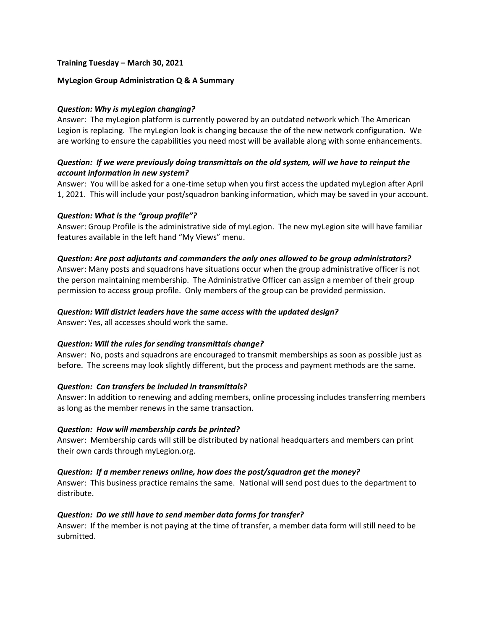### **Training Tuesday – March 30, 2021**

#### **MyLegion Group Administration Q & A Summary**

### *Question: Why is myLegion changing?*

Answer: The myLegion platform is currently powered by an outdated network which The American Legion is replacing. The myLegion look is changing because the of the new network configuration. We are working to ensure the capabilities you need most will be available along with some enhancements.

## *Question: If we were previously doing transmittals on the old system, will we have to reinput the account information in new system?*

Answer: You will be asked for a one-time setup when you first access the updated myLegion after April 1, 2021. This will include your post/squadron banking information, which may be saved in your account.

### *Question: What is the "group profile"?*

Answer: Group Profile is the administrative side of myLegion. The new myLegion site will have familiar features available in the left hand "My Views" menu.

### *Question: Are post adjutants and commanders the only ones allowed to be group administrators?*

Answer: Many posts and squadrons have situations occur when the group administrative officer is not the person maintaining membership. The Administrative Officer can assign a member of their group permission to access group profile. Only members of the group can be provided permission.

### *Question: Will district leaders have the same access with the updated design?*

Answer: Yes, all accesses should work the same.

#### *Question: Will the rules for sending transmittals change?*

Answer: No, posts and squadrons are encouraged to transmit memberships as soon as possible just as before. The screens may look slightly different, but the process and payment methods are the same.

#### *Question: Can transfers be included in transmittals?*

Answer: In addition to renewing and adding members, online processing includes transferring members as long as the member renews in the same transaction.

#### *Question: How will membership cards be printed?*

Answer: Membership cards will still be distributed by national headquarters and members can print their own cards through myLegion.org.

#### *Question: If a member renews online, how does the post/squadron get the money?*

Answer: This business practice remains the same. National will send post dues to the department to distribute.

### *Question: Do we still have to send member data forms for transfer?*

Answer: If the member is not paying at the time of transfer, a member data form will still need to be submitted.